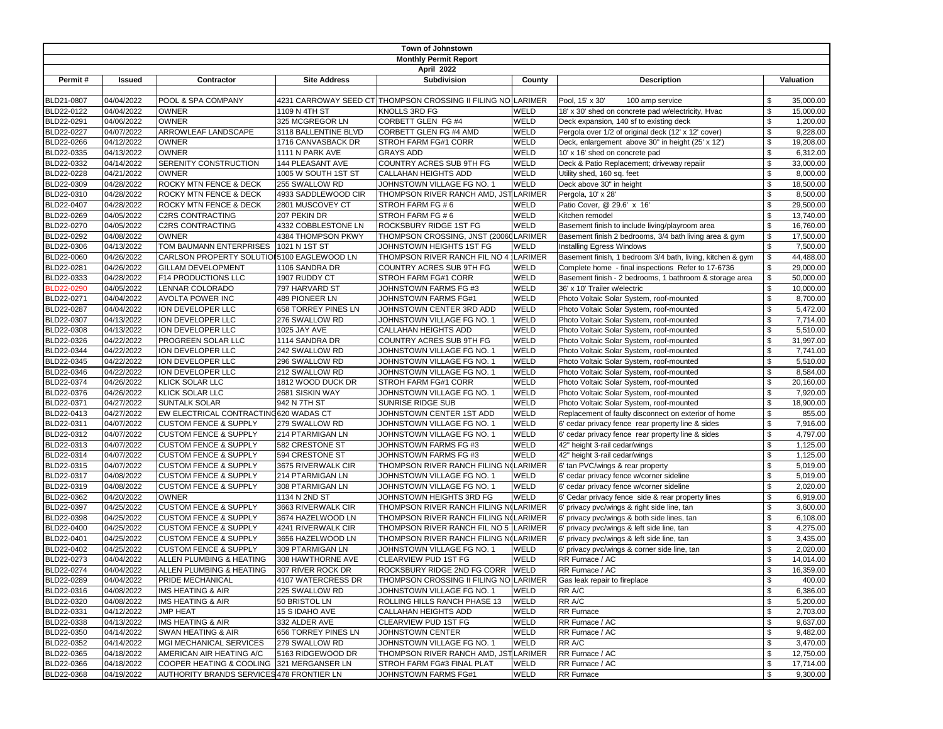| Town of Johnstown            |            |                                             |                      |                                                              |             |                                                            |                |           |  |  |
|------------------------------|------------|---------------------------------------------|----------------------|--------------------------------------------------------------|-------------|------------------------------------------------------------|----------------|-----------|--|--|
| <b>Monthly Permit Report</b> |            |                                             |                      |                                                              |             |                                                            |                |           |  |  |
| April 2022                   |            |                                             |                      |                                                              |             |                                                            |                |           |  |  |
| Permit#                      | Issued     | Contractor                                  | <b>Site Address</b>  | <b>Subdivision</b>                                           | County      | <b>Description</b>                                         | Valuation      |           |  |  |
|                              |            |                                             |                      |                                                              |             |                                                            |                |           |  |  |
| BLD21-0807                   | 04/04/2022 | POOL & SPA COMPANY                          |                      | 4231 CARROWAY SEED CT THOMPSON CROSSING II FILING NO LARIMER |             | Pool, 15' x 30'<br>100 amp service                         | \$             | 35,000.00 |  |  |
| BLD22-0122                   | 04/04/2022 | <b>OWNER</b>                                | 1109 N 4TH ST        | KNOLLS 3RD FG                                                | WELD        | 18' x 30' shed on concrete pad w/electricity, Hvac         | \$             | 15,000.00 |  |  |
| BLD22-0291                   | 04/06/2022 | <b>OWNER</b>                                | 325 MCGREGOR LN      | CORBETT GLEN FG #4                                           | WELD        | Deck expansion, 140 sf to existing deck                    | \$             | 1,200.00  |  |  |
| BLD22-0227                   | 04/07/2022 | ARROWLEAF LANDSCAPE                         | 3118 BALLENTINE BLVD | CORBETT GLEN FG #4 AMD                                       | WELD        | Pergola over 1/2 of original deck (12' x 12' cover)        | \$             | 9,228.00  |  |  |
| BLD22-0266                   | 04/12/2022 | <b>OWNER</b>                                | 1716 CANVASBACK DR   | STROH FARM FG#1 CORR                                         | WELD        | Deck, enlargement above 30" in height (25' x 12')          | \$             | 19,208.00 |  |  |
| BLD22-0335                   | 04/13/2022 | <b>OWNER</b>                                | 1111 N PARK AVE      | <b>GRAYS ADD</b>                                             | WELD        | 10' x 16' shed on concrete pad                             | \$             | 6,312.00  |  |  |
| BLD22-0332                   | 04/14/2022 | SERENITY CONSTRUCTION                       | 144 PLEASANT AVE     | COUNTRY ACRES SUB 9TH FG                                     | WELD        | Deck & Patio Replacement; driveway repaiir                 | \$             | 33,000.00 |  |  |
| BLD22-0228                   | 04/21/2022 | <b>OWNER</b>                                | 1005 W SOUTH 1ST ST  | CALLAHAN HEIGHTS ADD                                         | WELD        | Utility shed, 160 sq. feet                                 | \$             | 8,000.00  |  |  |
| BLD22-0309                   | 04/28/2022 | ROCKY MTN FENCE & DECK                      | 255 SWALLOW RD       | JOHNSTOWN VILLAGE FG NO. 1                                   | WELD        | Deck above 30" in height                                   | \$             | 18,500.00 |  |  |
| BLD22-0310                   | 04/28/2022 | ROCKY MTN FENCE & DECK                      | 4933 SADDLEWOOD CIR  | THOMPSON RIVER RANCH AMD, JST LARIMER                        |             | Pergola, 10' x 28'                                         | \$             | 8,500.00  |  |  |
| BLD22-0407                   | 04/28/2022 | ROCKY MTN FENCE & DECK                      | 2801 MUSCOVEY CT     | STROH FARM FG #6                                             | WELD        | Patio Cover, @ 29.6' x 16'                                 | \$             | 29,500.00 |  |  |
| BLD22-0269                   | 04/05/2022 | <b>C2RS CONTRACTING</b>                     | 207 PEKIN DR         | STROH FARM FG #6                                             | WELD        | Kitchen remodel                                            | \$             | 13,740.00 |  |  |
| BLD22-0270                   | 04/05/2022 | C2RS CONTRACTING                            | 4332 COBBLESTONE LN  | ROCKSBURY RIDGE 1ST FG                                       | WELD        | Basement finish to include living/playroom area            | \$             | 16,760.00 |  |  |
| BLD22-0292                   | 04/08/2022 | <b>OWNER</b>                                | 4384 THOMPSON PKWY   | THOMPSON CROSSING, JNST (20060 LARIMER                       |             | Basement finish 2 bedrooms, 3/4 bath living area & gym     | \$             | 17,500.00 |  |  |
| BLD22-0306                   | 04/13/2022 | TOM BAUMANN ENTERPRISES                     | 1021 N 1ST ST        | JOHNSTOWN HEIGHTS 1ST FG                                     | WELD        | Installing Egress Windows                                  | \$             | 7,500.00  |  |  |
| BLD22-0060                   | 04/26/2022 | CARLSON PROPERTY SOLUTIOI 5100 EAGLEWOOD LN |                      | THOMPSON RIVER RANCH FIL NO 4                                | LARIMER     | Basement finish, 1 bedroom 3/4 bath, living, kitchen & gym | \$             | 44,488.00 |  |  |
| BLD22-0281                   | 04/26/2022 | <b>GILLAM DEVELOPMENT</b>                   | 1106 SANDRA DR       | COUNTRY ACRES SUB 9TH FG                                     | WELD        | Complete home - final inspections Refer to 17-6736         | $$\mathbb{S}$$ | 29,000.00 |  |  |
| BLD22-0333                   | 04/28/2022 | F14 PRODUCTIONS LLC                         | 1907 RUDDY CT        | STROH FARM FG#1 CORR                                         | WELD        | Basement finish - 2 bedrooms, 1 bathroom & storage area    | \$             | 50,000.00 |  |  |
| BLD22-0290                   | 04/05/2022 | LENNAR COLORADO                             | 797 HARVARD ST       | JOHNSTOWN FARMS FG #3                                        | WELD        | 36' x 10' Trailer w/electric                               | \$             | 10,000.00 |  |  |
| BLD22-0271                   | 04/04/2022 | <b>AVOLTA POWER INC</b>                     | 489 PIONEER LN       | JOHNSTOWN FARMS FG#1                                         | WELD        | Photo Voltaic Solar System, roof-mounted                   | \$             | 8,700.00  |  |  |
| BLD22-0287                   | 04/04/2022 | ION DEVELOPER LLC                           | 658 TORREY PINES LN  | JOHNSTOWN CENTER 3RD ADD                                     | WELD        | Photo Voltaic Solar System, roof-mounted                   | \$             | 5,472.00  |  |  |
| BLD22-0307                   | 04/13/2022 | ION DEVELOPER LLC                           | 276 SWALLOW RD       | JOHNSTOWN VILLAGE FG NO. 1                                   | WELD        | Photo Voltaic Solar System, roof-mounted                   | \$             | 7,714.00  |  |  |
| BLD22-0308                   | 04/13/2022 | ION DEVELOPER LLC                           | 1025 JAY AVE         | CALLAHAN HEIGHTS ADD                                         | WELD        | Photo Voltaic Solar System, roof-mounted                   | \$             | 5,510.00  |  |  |
| BLD22-0326                   | 04/22/2022 | PROGREEN SOLAR LLC                          | 1114 SANDRA DR       | COUNTRY ACRES SUB 9TH FG                                     | WELD        | Photo Voltaic Solar System, roof-mounted                   | \$             | 31,997.00 |  |  |
| BLD22-0344                   | 04/22/2022 | ION DEVELOPER LLC                           | 242 SWALLOW RD       | JOHNSTOWN VILLAGE FG NO. 1                                   | WELD        | Photo Voltaic Solar System, roof-mounted                   | \$             | 7,741.00  |  |  |
| BLD22-0345                   | 04/22/2022 | ION DEVELOPER LLC                           | 296 SWALLOW RD       | JOHNSTOWN VILLAGE FG NO. 1                                   | WELD        | Photo Voltaic Solar System, roof-mounted                   | \$             | 5,510.00  |  |  |
| BLD22-0346                   | 04/22/2022 | ION DEVELOPER LLC                           | 212 SWALLOW RD       | JOHNSTOWN VILLAGE FG NO. 1                                   | WELD        | Photo Voltaic Solar System, roof-mounted                   | \$             | 8,584.00  |  |  |
| BLD22-0374                   | 04/26/2022 | <b>KLICK SOLAR LLC</b>                      | 1812 WOOD DUCK DR    | STROH FARM FG#1 CORR                                         | WELD        | Photo Voltaic Solar System, roof-mounted                   | \$             | 20,160.00 |  |  |
| BLD22-0376                   | 04/26/2022 | KLICK SOLAR LLC                             | 2681 SISKIN WAY      | JOHNSTOWN VILLAGE FG NO. 1                                   | WELD        | Photo Voltaic Solar System, roof-mounted                   | \$             | 7,920.00  |  |  |
| BLD22-0371                   | 04/27/2022 | <b>SUNTALK SOLAR</b>                        | 942 N 7TH ST         | SUNRISE RIDGE SUB                                            | WELD        | Photo Voltaic Solar System, roof-mounted                   | \$             | 18,900.00 |  |  |
| BLD22-0413                   | 04/27/2022 | EW ELECTRICAL CONTRACTING 620 WADAS CT      |                      | JOHNSTOWN CENTER 1ST ADD                                     | WELD        | Replacement of faulty disconnect on exterior of home       | \$             | 855.00    |  |  |
| BLD22-0311                   | 04/07/2022 | <b>CUSTOM FENCE &amp; SUPPLY</b>            | 279 SWALLOW RD       | JOHNSTOWN VILLAGE FG NO. 1                                   | WELD        | 6' cedar privacy fence rear property line & sides          | \$             | 7,916.00  |  |  |
| BLD22-0312                   | 04/07/2022 | <b>CUSTOM FENCE &amp; SUPPLY</b>            | 214 PTARMIGAN LN     | JOHNSTOWN VILLAGE FG NO. 1                                   | WELD        | 6' cedar privacy fence rear property line & sides          | \$             | 4,797.00  |  |  |
| BLD22-0313                   | 04/07/2022 | <b>CUSTOM FENCE &amp; SUPPLY</b>            | 582 CRESTONE ST      | JOHNSTOWN FARMS FG #3                                        | WELD        | 42" height 3-rail cedar/wings                              | \$             | 1,125.00  |  |  |
| BLD22-0314                   | 04/07/2022 | <b>CUSTOM FENCE &amp; SUPPLY</b>            | 594 CRESTONE ST      | JOHNSTOWN FARMS FG #3                                        | WELD        | 42" height 3-rail cedar/wings                              | \$             | 1,125.00  |  |  |
| BLD22-0315                   | 04/07/2022 | <b>CUSTOM FENCE &amp; SUPPLY</b>            | 3675 RIVERWALK CIR   | THOMPSON RIVER RANCH FILING NOLARIMER                        |             | 6' tan PVC/wings & rear property                           | \$             | 5,019.00  |  |  |
| BLD22-0317                   | 04/08/2022 | <b>CUSTOM FENCE &amp; SUPPLY</b>            | 214 PTARMIGAN LN     | JOHNSTOWN VILLAGE FG NO. 1                                   | WELD        | 6' cedar privacy fence w/corner sideline                   | \$             | 5,019.00  |  |  |
| BLD22-0319                   | 04/08/2022 | <b>CUSTOM FENCE &amp; SUPPLY</b>            | 308 PTARMIGAN LN     | JOHNSTOWN VILLAGE FG NO. 1                                   | WELD        | 6' cedar privacy fence w/corner sideline                   | \$             | 2,020.00  |  |  |
| BLD22-0362                   | 04/20/2022 | <b>OWNER</b>                                | 1134 N 2ND ST        | JOHNSTOWN HEIGHTS 3RD FG                                     | WELD        | 6' Cedar privacy fence side & rear property lines          | \$             | 6,919.00  |  |  |
| BLD22-0397                   | 04/25/2022 | <b>CUSTOM FENCE &amp; SUPPLY</b>            | 3663 RIVERWALK CIR   | THOMPSON RIVER RANCH FILING NOLARIMER                        |             | 6' privacy pvc/wings & right side line, tan                | \$             | 3,600.00  |  |  |
| BLD22-0398                   | 04/25/2022 | <b>CUSTOM FENCE &amp; SUPPLY</b>            | 3674 HAZELWOOD LN    | THOMPSON RIVER RANCH FILING NOLARIMER                        |             | 6' privacy pvc/wings & both side lines, tan                | \$             | 6,108.00  |  |  |
| BLD22-0400                   | 04/25/2022 | <b>CUSTOM FENCE &amp; SUPPLY</b>            | 4241 RIVERWALK CIR   | THOMPSON RIVER RANCH FIL NO 5                                | LARIMER     | 6' privacy pvc/wings & left side line, tan                 | \$             | 4,275.00  |  |  |
| BLD22-0401                   | 04/25/2022 | <b>CUSTOM FENCE &amp; SUPPLY</b>            | 3656 HAZELWOOD LN    | THOMPSON RIVER RANCH FILING NOLARIMER                        |             | 6' privacy pvc/wings & left side line, tan                 | \$             | 3,435.00  |  |  |
| BLD22-0402                   | 04/25/2022 | <b>CUSTOM FENCE &amp; SUPPLY</b>            | 309 PTARMIGAN LN     | JOHNSTOWN VILLAGE FG NO. 1                                   | WELD        | 6' privacy pvc/wings & corner side line, tan               | \$             | 2,020.00  |  |  |
| BLD22-0273                   | 04/04/2022 | ALLEN PLUMBING & HEATING                    | 308 HAWTHORNE AVE    | CLEARVIEW PUD 1ST FG                                         | WELD        | RR Furnace / AC                                            | \$             | 14,014.00 |  |  |
| BLD22-0274                   | 04/04/2022 | ALLEN PLUMBING & HEATING                    | 307 RIVER ROCK DR    | ROCKSBURY RIDGE 2ND FG CORR                                  | <b>WELD</b> | RR Furnace / AC                                            | \$             | 16,359.00 |  |  |
| BLD22-0289                   | 04/04/2022 | <b>PRIDE MECHANICAL</b>                     | 4107 WATERCRESS DR   | THOMPSON CROSSING II FILING NO LARIMER                       |             | Gas leak repair to fireplace                               | \$             | 400.00    |  |  |
| BLD22-0316                   | 04/08/2022 | IMS HEATING & AIR                           | 225 SWALLOW RD       | JOHNSTOWN VILLAGE FG NO. 1                                   | WELD        | RR A/C                                                     | \$             | 6,386.00  |  |  |
| BLD22-0320                   | 04/08/2022 | IMS HEATING & AIR                           | 50 BRISTOL LN        | ROLLING HILLS RANCH PHASE 13                                 | WELD        | RR A/C                                                     | \$             | 5,200.00  |  |  |
| BLD22-0331                   | 04/12/2022 | <b>JMP HEAT</b>                             | 15 S IDAHO AVE       | CALLAHAN HEIGHTS ADD                                         | WELD        | <b>RR</b> Furnace                                          | \$             | 2,703.00  |  |  |
| BLD22-0338                   | 04/13/2022 | IMS HEATING & AIR                           | 332 ALDER AVE        | CLEARVIEW PUD 1ST FG                                         | WELD        | RR Furnace / AC                                            | \$             | 9,637.00  |  |  |
| BLD22-0350                   | 04/14/2022 | SWAN HEATING & AIR                          | 656 TORREY PINES LN  | JOHNSTOWN CENTER                                             | WELD        | RR Furnace / AC                                            | \$             | 9,482.00  |  |  |
| BLD22-0352                   | 04/14/2022 | MGI MECHANICAL SERVICES                     | 279 SWALLOW RD       | JOHNSTOWN VILLAGE FG NO. 1                                   | WELD        | RR A/C                                                     | \$             | 3,470.00  |  |  |
| BLD22-0365                   | 04/18/2022 | AMERICAN AIR HEATING A/C                    | 5163 RIDGEWOOD DR    | THOMPSON RIVER RANCH AMD, JST LARIMER                        |             | RR Furnace / AC                                            | \$             | 12,750.00 |  |  |
| BLD22-0366                   | 04/18/2022 | COOPER HEATING & COOLING 321 MERGANSER LN   |                      | STROH FARM FG#3 FINAL PLAT                                   | WELD        | RR Furnace / AC                                            | \$             | 17,714.00 |  |  |
| BLD22-0368                   | 04/19/2022 | AUTHORITY BRANDS SERVICES 478 FRONTIER LN   |                      | JOHNSTOWN FARMS FG#1                                         | WELD        | <b>RR</b> Furnace                                          | \$             | 9,300.00  |  |  |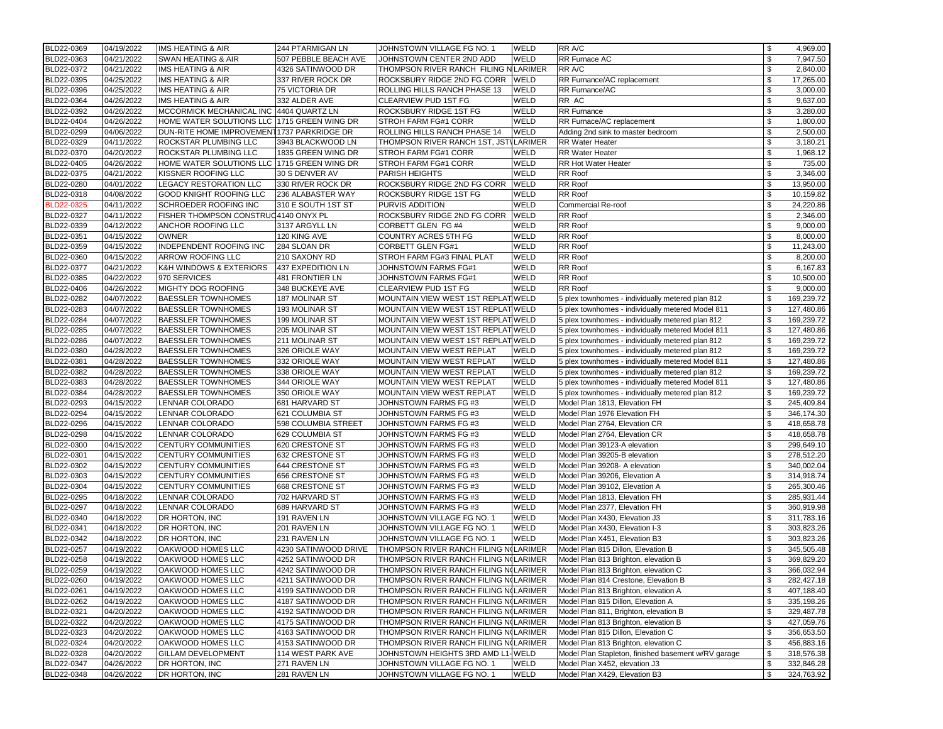| BLD22-0369 | 04/19/2022               | IMS HEATING & AIR                           | 244 PTARMIGAN LN     | JOHNSTOWN VILLAGE FG NO. 1            | <b>WELD</b> | RR A/C                                              | \$<br>4,969.00    |
|------------|--------------------------|---------------------------------------------|----------------------|---------------------------------------|-------------|-----------------------------------------------------|-------------------|
| BLD22-0363 | 04/21/2022               | SWAN HEATING & AIR                          | 507 PEBBLE BEACH AVE | JOHNSTOWN CENTER 2ND ADD              | WELD        | RR Furnace AC                                       | \$<br>7,947.50    |
| BLD22-0372 | 04/21/2022               | IMS HEATING & AIR                           | 4326 SATINWOOD DR    | THOMPSON RIVER RANCH FILING N LARIMER |             | RR A/C                                              | \$<br>2,840.00    |
| BLD22-0395 | 04/25/2022               | IMS HEATING & AIR                           | 337 RIVER ROCK DR    | ROCKSBURY RIDGE 2ND FG CORR           | WELD        | RR Furnance/AC replacement                          | \$<br>17,265.00   |
| BLD22-0396 | 04/25/2022               | IMS HEATING & AIR                           | 75 VICTORIA DR       | ROLLING HILLS RANCH PHASE 13          | WELD        | RR Furnance/AC                                      | \$<br>3,000.00    |
| BLD22-0364 | 04/26/2022               | IMS HEATING & AIR                           | 332 ALDER AVE        | CLEARVIEW PUD 1ST FG                  | WELD        | RR AC                                               | \$<br>9,637.00    |
| BLD22-0392 | 04/26/2022               | MCCORMICK MECHANICAL INC 4404 QUARTZ LN     |                      | ROCKSBURY RIDGE 1ST FG                | WELD        | <b>RR</b> Furnance                                  | \$<br>3,280.00    |
| BLD22-0404 | 04/26/2022               | HOME WATER SOLUTIONS LLC 1715 GREEN WING DR |                      | STROH FARM FG#1 CORR                  | WELD        | RR Furnace/AC replacement                           | \$<br>1,800.00    |
|            |                          |                                             |                      |                                       |             |                                                     | \$                |
| BLD22-0299 | 04/06/2022               | DUN-RITE HOME IMPROVEMENT 1737 PARKRIDGE DR |                      | ROLLING HILLS RANCH PHASE 14          | WELD        | Adding 2nd sink to master bedroom                   | \$<br>2,500.00    |
| BLD22-0329 | 04/11/2022               | ROCKSTAR PLUMBING LLC                       | 3943 BLACKWOOD LN    | THOMPSON RIVER RANCH 1ST, JSTVLARIMER |             | <b>RR Water Heater</b>                              | 3,180.21          |
| BLD22-0370 | 04/20/2022               | ROCKSTAR PLUMBING LLC                       | 1835 GREEN WING DR   | STROH FARM FG#1 CORR                  | WELD        | <b>RR Water Heater</b>                              | \$<br>1,968.12    |
| BLD22-0405 | 04/26/2022               | HOME WATER SOLUTIONS LLC 1715 GREEN WING DR |                      | STROH FARM FG#1 CORR                  | WELD        | <b>RR Hot Water Heater</b>                          | \$<br>735.00      |
| BLD22-0375 | 04/21/2022               | KISSNER ROOFING LLC                         | 30 S DENVER AV       | PARISH HEIGHTS                        | WELD        | <b>RR</b> Roof                                      | \$<br>3,346.00    |
| BLD22-0280 | 04/01/2022               | LEGACY RESTORATION LLC                      | 330 RIVER ROCK DR    | ROCKSBURY RIDGE 2ND FG CORR           | <b>WELD</b> | <b>RR</b> Roof                                      | \$<br>13,950.00   |
| BLD22-0318 | 04/08/2022               | GOOD KNIGHT ROOFING LLC                     | 236 ALABASTER WAY    | ROCKSBURY RIDGE 1ST FG                | WELD        | <b>RR</b> Roof                                      | \$<br>10,159.82   |
| BLD22-0325 | 04/11/2022               | SCHROEDER ROOFING INC                       | 310 E SOUTH 1ST ST   | <b>PURVIS ADDITION</b>                | WELD        | Commercial Re-roof                                  | \$<br>24,220.86   |
| BLD22-0327 | 04/11/2022               | FISHER THOMPSON CONSTRUC4140 ONYX PL        |                      | ROCKSBURY RIDGE 2ND FG CORR           | WELD        | <b>RR Roof</b>                                      | \$<br>2,346.00    |
| BLD22-0339 | 04/12/2022               | ANCHOR ROOFING LLC                          | 3137 ARGYLL LN       | CORBETT GLEN FG #4                    | WELD        | <b>RR Roof</b>                                      | \$<br>9,000.00    |
| BLD22-0351 | 04/15/2022               | <b>OWNER</b>                                | 120 KING AVE         | COUNTRY ACRES 5TH FG                  | WELD        | <b>RR</b> Roof                                      | \$<br>8,000.00    |
| BLD22-0359 | 04/15/2022               | INDEPENDENT ROOFING INC                     | 284 SLOAN DR         | CORBETT GLEN FG#1                     | WELD        | <b>RR Roof</b>                                      | \$<br>11,243.00   |
| BLD22-0360 | 04/15/2022               | ARROW ROOFING LLC                           | 210 SAXONY RD        | STROH FARM FG#3 FINAL PLAT            | WELD        | <b>RR</b> Roof                                      | \$<br>8,200.00    |
| BLD22-0377 | 04/21/2022               | K&H WINDOWS & EXTERIORS                     | 437 EXPEDITION LN    | JOHNSTOWN FARMS FG#1                  | WELD        | <b>RR</b> Roof                                      | \$<br>6,167.83    |
| BLD22-0385 | 04/22/2022               | 970 SERVICES                                | 481 FRONTIER LN      | JOHNSTOWN FARMS FG#1                  | WELD        | <b>RR</b> Roof                                      | \$<br>10,500.00   |
| BLD22-0406 | 04/26/2022               | MIGHTY DOG ROOFING                          | 348 BUCKEYE AVE      | CLEARVIEW PUD 1ST FG                  | WELD        | <b>RR Roof</b>                                      | \$<br>9,000.00    |
| BLD22-0282 | 04/07/2022               | <b>BAESSLER TOWNHOMES</b>                   | 187 MOLINAR ST       | MOUNTAIN VIEW WEST 1ST REPLAT WELD    |             | 5 plex townhomes - individually metered plan 812    | \$<br>169,239.72  |
| BLD22-0283 | 04/07/2022               | <b>BAESSLER TOWNHOMES</b>                   | 193 MOLINAR ST       | MOUNTAIN VIEW WEST 1ST REPLAT WELD    |             | 5 plex townhomes - individually metered Model 811   | \$<br>127,480.86  |
| BLD22-0284 | 04/07/2022               | <b>BAESSLER TOWNHOMES</b>                   | 199 MOLINAR ST       | MOUNTAIN VIEW WEST 1ST REPLAT WELD    |             | 5 plex townhomes - individually metered plan 812    | \$<br>169,239.72  |
| BLD22-0285 | 04/07/2022               | <b>BAESSLER TOWNHOMES</b>                   | 205 MOLINAR ST       | MOUNTAIN VIEW WEST 1ST REPLAT WELD    |             | 5 plex townhomes - individually metered Model 811   | \$<br>127,480.86  |
| BLD22-0286 | 04/07/2022               | <b>BAESSLER TOWNHOMES</b>                   | 211 MOLINAR ST       | MOUNTAIN VIEW WEST 1ST REPLAT WELD    |             | 5 plex townhomes - individually metered plan 812    | \$<br>169,239.72  |
| BLD22-0380 | 04/28/2022               | <b>BAESSLER TOWNHOMES</b>                   | 326 ORIOLE WAY       | MOUNTAIN VIEW WEST REPLAT             | WELD        | 5 plex townhomes - individually metered plan 812    | \$<br>169,239.72  |
| BLD22-0381 | 04/28/2022               | <b>BAESSLER TOWNHOMES</b>                   | 332 ORIOLE WAY       | MOUNTAIN VIEW WEST REPLAT             | WELD        | 5 plex townhomes - individually metered Model 811   | \$<br>127,480.86  |
| BLD22-0382 | 04/28/2022               | <b>BAESSLER TOWNHOMES</b>                   | 338 ORIOLE WAY       | MOUNTAIN VIEW WEST REPLAT             | WELD        | 5 plex townhomes - individually metered plan 812    | \$<br>169,239.72  |
| BLD22-0383 | 04/28/2022               | <b>BAESSLER TOWNHOMES</b>                   | 344 ORIOLE WAY       | MOUNTAIN VIEW WEST REPLAT             | WELD        | 5 plex townhomes - individually metered Model 811   | \$<br>127,480.86  |
| BLD22-0384 | 04/28/2022               | <b>BAESSLER TOWNHOMES</b>                   | 350 ORIOLE WAY       | MOUNTAIN VIEW WEST REPLAT             | WELD        | 5 plex townhomes - individually metered plan 812    | \$<br>169,239.72  |
| BLD22-0293 | 04/15/2022               | LENNAR COLORADO                             | 681 HARVARD ST       | JOHNSTOWN FARMS FG #3                 | WELD        | Model Plan 1813, Elevation FH                       | \$<br>245,409.84  |
| BLD22-0294 | 04/15/2022               | LENNAR COLORADO                             | 621 COLUMBIA ST      | JOHNSTOWN FARMS FG #3                 | WELD        | Model Plan 1976 Elevation FH                        | \$<br>346, 174.30 |
| BLD22-0296 | 04/15/2022               | LENNAR COLORADO                             | 598 COLUMBIA STREET  | JOHNSTOWN FARMS FG #3                 | WELD        | Model Plan 2764, Elevation CR                       | \$<br>418,658.78  |
| BLD22-0298 | 04/15/2022               | LENNAR COLORADO                             | 629 COLUMBIA ST      | JOHNSTOWN FARMS FG #3                 | WELD        | Model Plan 2764, Elevation CR                       | \$<br>418,658.78  |
| BLD22-0300 | 04/15/2022               | CENTURY COMMUNITIES                         | 620 CRESTONE ST      | JOHNSTOWN FARMS FG #3                 | WELD        | Model Plan 39123-A elevation                        | \$<br>299,649.10  |
| BLD22-0301 | 04/15/2022               | CENTURY COMMUNITIES                         | 632 CRESTONE ST      | JOHNSTOWN FARMS FG #3                 | WELD        | Model Plan 39205-B elevation                        | \$<br>278,512.20  |
| BLD22-0302 | 04/15/2022               | CENTURY COMMUNITIES                         | 644 CRESTONE ST      | JOHNSTOWN FARMS FG #3                 | WELD        | Model Plan 39208- A elevation                       | \$<br>340,002.04  |
| BLD22-0303 | 04/15/2022               | CENTURY COMMUNITIES                         | 656 CRESTONE ST      | JOHNSTOWN FARMS FG #3                 | WELD        | Model Plan 39206, Elevation A                       | \$<br>314,918.74  |
| BLD22-0304 | 04/15/2022               | CENTURY COMMUNITIES                         | 668 CRESTONE ST      | JOHNSTOWN FARMS FG #3                 | WELD        | Model Plan 39102, Elevation A                       | \$<br>265,300.46  |
| BLD22-0295 | 04/18/2022               | LENNAR COLORADO                             | 702 HARVARD ST       | JOHNSTOWN FARMS FG #3                 | WELD        | Model Plan 1813, Elevation FH                       | \$<br>285,931.44  |
| BLD22-0297 | 04/18/2022               | LENNAR COLORADO                             | 689 HARVARD ST       | JOHNSTOWN FARMS FG #3                 | WELD        | Model Plan 2377, Elevation FH                       | \$<br>360,919.98  |
| BLD22-0340 | 04/18/2022               | DR HORTON, INC                              | 191 RAVEN LN         | JOHNSTOWN VILLAGE FG NO. 1            | WELD        | Model Plan X430, Elevation J3                       | \$<br>311,783.16  |
| BLD22-0341 | 04/18/2022               | DR HORTON, INC                              | 201 RAVEN LN         | JOHNSTOWN VILLAGE FG NO. 1            | WELD        | Model Plan X430, Elevation I-3                      | \$<br>303,823.26  |
| BLD22-0342 | 04/18/2022               | DR HORTON, INC                              | 231 RAVEN LN         | JOHNSTOWN VILLAGE FG NO. 1            | WELD        | Model Plan X451, Elevation B3                       | \$<br>303,823.26  |
| BLD22-0257 | 04/19/2022               | OAKWOOD HOMES LLC                           | 4230 SATINWOOD DRIVE | THOMPSON RIVER RANCH FILING N(LARIMER |             | Model Plan 815 Dillon, Elevation B                  | \$<br>345,505.48  |
|            |                          | OAKWOOD HOMES LLC                           | 4252 SATINWOOD DR    |                                       |             |                                                     | \$<br>369,829.20  |
| BLD22-0258 | 04/19/2022<br>04/19/2022 |                                             |                      | THOMPSON RIVER RANCH FILING N(LARIMER |             | Model Plan 813 Brighton, elevation B                |                   |
| BLD22-0259 |                          | OAKWOOD HOMES LLC                           | 4242 SATINWOOD DR    | THOMPSON RIVER RANCH FILING N(LARIMER |             | Model Plan 813 Brighton, elevation C                | \$<br>366,032.94  |
| BLD22-0260 | 04/19/2022               | OAKWOOD HOMES LLC                           | 4211 SATINWOOD DR    | THOMPSON RIVER RANCH FILING NOLARIMER |             | Model Plan 814 Crestone, Elevation B                | \$<br>282,427.18  |
| BLD22-0261 | 04/19/2022               | OAKWOOD HOMES LLC                           | 4199 SATINWOOD DR    | THOMPSON RIVER RANCH FILING NOLARIMER |             | Model Plan 813 Brighton, elevation A                | \$<br>407,188.40  |
| BLD22-0262 | 04/19/2022               | OAKWOOD HOMES LLC                           | 4187 SATINWOOD DR    | THOMPSON RIVER RANCH FILING NOLARIMER |             | Model Plan 815 Dillon, Elevation A                  | \$<br>335, 198.26 |
| BLD22-0321 | 04/20/2022               | OAKWOOD HOMES LLC                           | 4192 SATINWOOD DR    | THOMPSON RIVER RANCH FILING N(LARIMER |             | Model Plan 811, Brighton, elevation B               | \$<br>329,487.78  |
| BLD22-0322 | 04/20/2022               | OAKWOOD HOMES LLC                           | 4175 SATINWOOD DR    | THOMPSON RIVER RANCH FILING N(LARIMER |             | Model Plan 813 Brighton, elevation B                | \$<br>427,059.76  |
| BLD22-0323 | 04/20/2022               | OAKWOOD HOMES LLC                           | 4163 SATINWOOD DR    | THOMPSON RIVER RANCH FILING NOLARIMER |             | Model Plan 815 Dillon, Elevation C                  | \$<br>356,653.50  |
| BLD22-0324 | 04/20/2022               | OAKWOOD HOMES LLC                           | 4153 SATINWOOD DR    | THOMPSON RIVER RANCH FILING N(LARIMER |             | Model Plan 813 Brighton, elevation C                | \$<br>456,883.16  |
| BLD22-0328 | 04/20/2022               | GILLAM DEVELOPMENT                          | 114 WEST PARK AVE    | JOHNSTOWN HEIGHTS 3RD AMD L1-WELD     |             | Model Plan Stapleton, finished basement w/RV garage | \$<br>318,576.38  |
| BLD22-0347 | 04/26/2022               | DR HORTON, INC                              | 271 RAVEN LN         | JOHNSTOWN VILLAGE FG NO. 1            | WELD        | Model Plan X452, elevation J3                       | \$<br>332,846.28  |
| BLD22-0348 | 04/26/2022               | DR HORTON, INC                              | 281 RAVEN LN         | JOHNSTOWN VILLAGE FG NO. 1            | WELD        | Model Plan X429, Elevation B3                       | \$<br>324,763.92  |